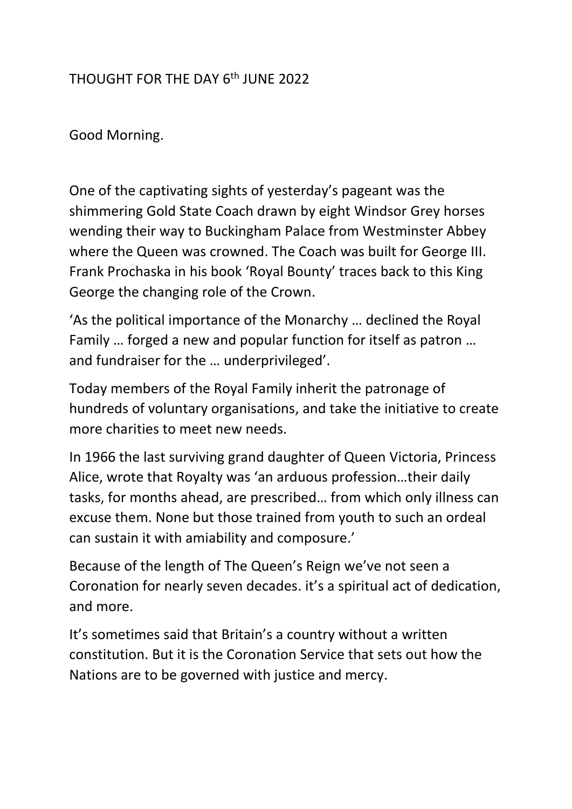## THOUGHT FOR THE DAY 6th JUNE 2022

Good Morning.

One of the captivating sights of yesterday's pageant was the shimmering Gold State Coach drawn by eight Windsor Grey horses wending their way to Buckingham Palace from Westminster Abbey where the Queen was crowned. The Coach was built for George III. Frank Prochaska in his book 'Royal Bounty' traces back to this King George the changing role of the Crown.

'As the political importance of the Monarchy … declined the Royal Family … forged a new and popular function for itself as patron … and fundraiser for the … underprivileged'.

Today members of the Royal Family inherit the patronage of hundreds of voluntary organisations, and take the initiative to create more charities to meet new needs.

In 1966 the last surviving grand daughter of Queen Victoria, Princess Alice, wrote that Royalty was 'an arduous profession…their daily tasks, for months ahead, are prescribed… from which only illness can excuse them. None but those trained from youth to such an ordeal can sustain it with amiability and composure.'

Because of the length of The Queen's Reign we've not seen a Coronation for nearly seven decades. it's a spiritual act of dedication, and more.

It's sometimes said that Britain's a country without a written constitution. But it is the Coronation Service that sets out how the Nations are to be governed with justice and mercy.